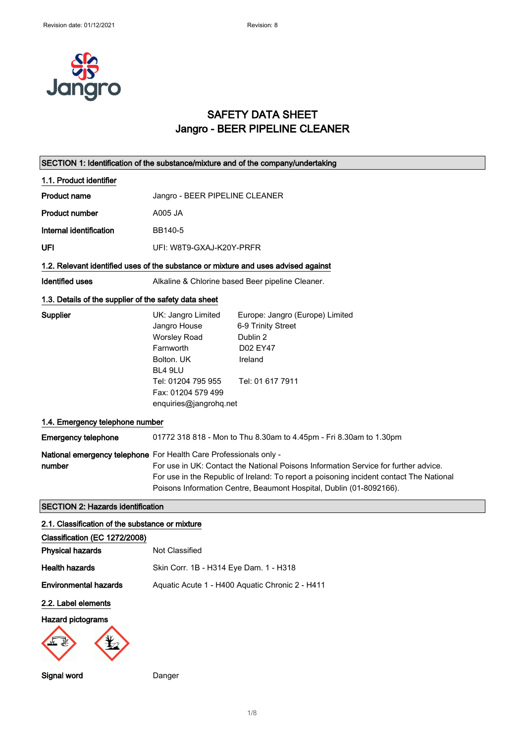

### SAFETY DATA SHEET Jangro - BEER PIPELINE CLEANER

| SECTION 1: Identification of the substance/mixture and of the company/undertaking  |                                                                                                                                                                                                                                                                                                                            |                                                                                                              |
|------------------------------------------------------------------------------------|----------------------------------------------------------------------------------------------------------------------------------------------------------------------------------------------------------------------------------------------------------------------------------------------------------------------------|--------------------------------------------------------------------------------------------------------------|
| 1.1. Product identifier                                                            |                                                                                                                                                                                                                                                                                                                            |                                                                                                              |
| <b>Product name</b>                                                                | Jangro - BEER PIPELINE CLEANER                                                                                                                                                                                                                                                                                             |                                                                                                              |
| <b>Product number</b>                                                              | A005 JA                                                                                                                                                                                                                                                                                                                    |                                                                                                              |
| Internal identification                                                            | BB140-5                                                                                                                                                                                                                                                                                                                    |                                                                                                              |
| UFI                                                                                | UFI: W8T9-GXAJ-K20Y-PRFR                                                                                                                                                                                                                                                                                                   |                                                                                                              |
| 1.2. Relevant identified uses of the substance or mixture and uses advised against |                                                                                                                                                                                                                                                                                                                            |                                                                                                              |
| <b>Identified uses</b>                                                             |                                                                                                                                                                                                                                                                                                                            | Alkaline & Chlorine based Beer pipeline Cleaner.                                                             |
| 1.3. Details of the supplier of the safety data sheet                              |                                                                                                                                                                                                                                                                                                                            |                                                                                                              |
| Supplier                                                                           | UK: Jangro Limited<br>Jangro House<br><b>Worsley Road</b><br>Farnworth<br>Bolton, UK<br>BL4 9LU<br>Tel: 01204 795 955<br>Fax: 01204 579 499<br>enquiries@jangrohq.net                                                                                                                                                      | Europe: Jangro (Europe) Limited<br>6-9 Trinity Street<br>Dublin 2<br>D02 EY47<br>Ireland<br>Tel: 01 617 7911 |
| 1.4. Emergency telephone number                                                    |                                                                                                                                                                                                                                                                                                                            |                                                                                                              |
| <b>Emergency telephone</b>                                                         |                                                                                                                                                                                                                                                                                                                            | 01772 318 818 - Mon to Thu 8.30am to 4.45pm - Fri 8.30am to 1.30pm                                           |
| number                                                                             | National emergency telephone For Health Care Professionals only -<br>For use in UK: Contact the National Poisons Information Service for further advice.<br>For use in the Republic of Ireland: To report a poisoning incident contact The National<br>Poisons Information Centre, Beaumont Hospital, Dublin (01-8092166). |                                                                                                              |
| <b>SECTION 2: Hazards identification</b>                                           |                                                                                                                                                                                                                                                                                                                            |                                                                                                              |
| 2.1. Classification of the substance or mixture                                    |                                                                                                                                                                                                                                                                                                                            |                                                                                                              |
| Classification (EC 1272/2008)                                                      |                                                                                                                                                                                                                                                                                                                            |                                                                                                              |
| <b>Physical hazards</b>                                                            | Not Classified                                                                                                                                                                                                                                                                                                             |                                                                                                              |
| <b>Health hazards</b>                                                              | Skin Corr. 1B - H314 Eye Dam. 1 - H318                                                                                                                                                                                                                                                                                     |                                                                                                              |
| <b>Environmental hazards</b>                                                       |                                                                                                                                                                                                                                                                                                                            | Aquatic Acute 1 - H400 Aquatic Chronic 2 - H411                                                              |
| 2.2. Label elements                                                                |                                                                                                                                                                                                                                                                                                                            |                                                                                                              |
| <b>Hazard pictograms</b>                                                           |                                                                                                                                                                                                                                                                                                                            |                                                                                                              |
| Signal word                                                                        | Danger                                                                                                                                                                                                                                                                                                                     |                                                                                                              |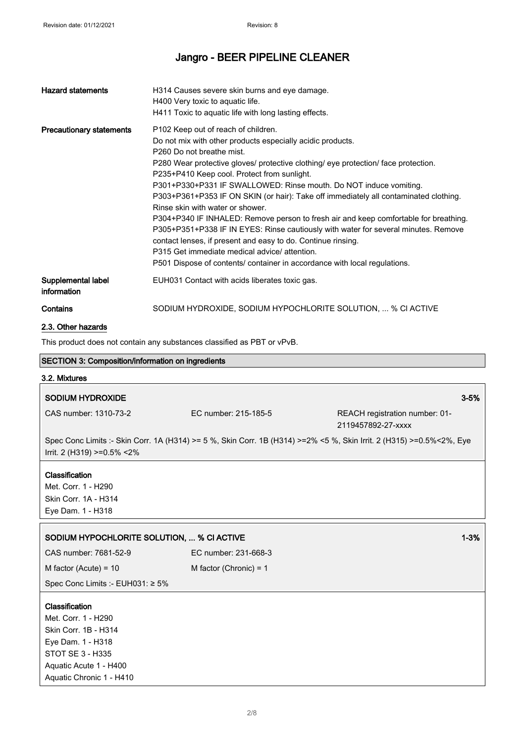| <b>Hazard statements</b>          | H314 Causes severe skin burns and eye damage.<br>H400 Very toxic to aquatic life.<br>H411 Toxic to aquatic life with long lasting effects.                                                                                                                                                                                                                                                                                                                                                                                                                                                                                                                                                                                                                                                                                                                              |
|-----------------------------------|-------------------------------------------------------------------------------------------------------------------------------------------------------------------------------------------------------------------------------------------------------------------------------------------------------------------------------------------------------------------------------------------------------------------------------------------------------------------------------------------------------------------------------------------------------------------------------------------------------------------------------------------------------------------------------------------------------------------------------------------------------------------------------------------------------------------------------------------------------------------------|
| <b>Precautionary statements</b>   | P <sub>102</sub> Keep out of reach of children.<br>Do not mix with other products especially acidic products.<br>P <sub>260</sub> Do not breathe mist.<br>P280 Wear protective gloves/ protective clothing/ eye protection/ face protection.<br>P235+P410 Keep cool. Protect from sunlight.<br>P301+P330+P331 IF SWALLOWED: Rinse mouth. Do NOT induce vomiting.<br>P303+P361+P353 IF ON SKIN (or hair): Take off immediately all contaminated clothing.<br>Rinse skin with water or shower.<br>P304+P340 IF INHALED: Remove person to fresh air and keep comfortable for breathing.<br>P305+P351+P338 IF IN EYES: Rinse cautiously with water for several minutes. Remove<br>contact lenses, if present and easy to do. Continue rinsing.<br>P315 Get immediate medical advice/attention.<br>P501 Dispose of contents/ container in accordance with local regulations. |
| Supplemental label<br>information | EUH031 Contact with acids liberates toxic gas.                                                                                                                                                                                                                                                                                                                                                                                                                                                                                                                                                                                                                                                                                                                                                                                                                          |
| Contains                          | SODIUM HYDROXIDE, SODIUM HYPOCHLORITE SOLUTION,  % CI ACTIVE                                                                                                                                                                                                                                                                                                                                                                                                                                                                                                                                                                                                                                                                                                                                                                                                            |

### 2.3. Other hazards

This product does not contain any substances classified as PBT or vPvB.

| SECTION 3: Composition/information on ingredients |                                                                                                                      |                                                      |          |
|---------------------------------------------------|----------------------------------------------------------------------------------------------------------------------|------------------------------------------------------|----------|
| 3.2. Mixtures                                     |                                                                                                                      |                                                      |          |
| <b>SODIUM HYDROXIDE</b>                           |                                                                                                                      |                                                      | $3 - 5%$ |
|                                                   |                                                                                                                      |                                                      |          |
| CAS number: 1310-73-2                             | EC number: 215-185-5                                                                                                 | REACH registration number: 01-<br>2119457892-27-xxxx |          |
|                                                   | Spec Conc Limits :- Skin Corr. 1A (H314) >= 5 %, Skin Corr. 1B (H314) >=2% <5 %, Skin Irrit. 2 (H315) >=0.5%<2%, Eye |                                                      |          |
| Irrit. 2 (H319) >=0.5% <2%                        |                                                                                                                      |                                                      |          |
|                                                   |                                                                                                                      |                                                      |          |
| Classification<br>Met. Corr. 1 - H290             |                                                                                                                      |                                                      |          |
| Skin Corr. 1A - H314                              |                                                                                                                      |                                                      |          |
| Eye Dam. 1 - H318                                 |                                                                                                                      |                                                      |          |
|                                                   |                                                                                                                      |                                                      |          |
| SODIUM HYPOCHLORITE SOLUTION,  % CI ACTIVE        |                                                                                                                      |                                                      | $1 - 3%$ |
| CAS number: 7681-52-9                             | EC number: 231-668-3                                                                                                 |                                                      |          |
| M factor (Acute) = $10$                           | M factor (Chronic) = $1$                                                                                             |                                                      |          |
| Spec Conc Limits :- EUH031: ≥ 5%                  |                                                                                                                      |                                                      |          |
| Classification                                    |                                                                                                                      |                                                      |          |
| Met. Corr. 1 - H290                               |                                                                                                                      |                                                      |          |
| Skin Corr. 1B - H314                              |                                                                                                                      |                                                      |          |
| Eye Dam. 1 - H318                                 |                                                                                                                      |                                                      |          |
| <b>STOT SE 3 - H335</b>                           |                                                                                                                      |                                                      |          |
| Aquatic Acute 1 - H400                            |                                                                                                                      |                                                      |          |
| Aquatic Chronic 1 - H410                          |                                                                                                                      |                                                      |          |
|                                                   |                                                                                                                      |                                                      |          |

٦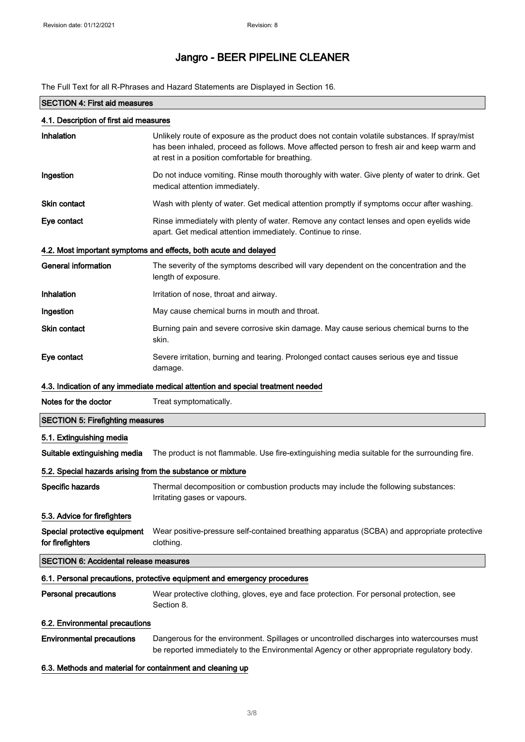The Full Text for all R-Phrases and Hazard Statements are Displayed in Section 16.

| <b>SECTION 4: First aid measures</b>                       |                                                                                                                                                                                                                                                |  |
|------------------------------------------------------------|------------------------------------------------------------------------------------------------------------------------------------------------------------------------------------------------------------------------------------------------|--|
| 4.1. Description of first aid measures                     |                                                                                                                                                                                                                                                |  |
| Inhalation                                                 | Unlikely route of exposure as the product does not contain volatile substances. If spray/mist<br>has been inhaled, proceed as follows. Move affected person to fresh air and keep warm and<br>at rest in a position comfortable for breathing. |  |
| Ingestion                                                  | Do not induce vomiting. Rinse mouth thoroughly with water. Give plenty of water to drink. Get<br>medical attention immediately.                                                                                                                |  |
| <b>Skin contact</b>                                        | Wash with plenty of water. Get medical attention promptly if symptoms occur after washing.                                                                                                                                                     |  |
| Eye contact                                                | Rinse immediately with plenty of water. Remove any contact lenses and open eyelids wide<br>apart. Get medical attention immediately. Continue to rinse.                                                                                        |  |
|                                                            | 4.2. Most important symptoms and effects, both acute and delayed                                                                                                                                                                               |  |
| <b>General information</b>                                 | The severity of the symptoms described will vary dependent on the concentration and the<br>length of exposure.                                                                                                                                 |  |
| Inhalation                                                 | Irritation of nose, throat and airway.                                                                                                                                                                                                         |  |
| Ingestion                                                  | May cause chemical burns in mouth and throat.                                                                                                                                                                                                  |  |
| Skin contact                                               | Burning pain and severe corrosive skin damage. May cause serious chemical burns to the<br>skin.                                                                                                                                                |  |
| Eye contact                                                | Severe irritation, burning and tearing. Prolonged contact causes serious eye and tissue<br>damage.                                                                                                                                             |  |
|                                                            | 4.3. Indication of any immediate medical attention and special treatment needed                                                                                                                                                                |  |
| Notes for the doctor                                       | Treat symptomatically.                                                                                                                                                                                                                         |  |
| <b>SECTION 5: Firefighting measures</b>                    |                                                                                                                                                                                                                                                |  |
| 5.1. Extinguishing media                                   |                                                                                                                                                                                                                                                |  |
| Suitable extinguishing media                               | The product is not flammable. Use fire-extinguishing media suitable for the surrounding fire.                                                                                                                                                  |  |
| 5.2. Special hazards arising from the substance or mixture |                                                                                                                                                                                                                                                |  |
| Specific hazards                                           | Thermal decomposition or combustion products may include the following substances:<br>Irritating gases or vapours.                                                                                                                             |  |
| 5.3. Advice for firefighters                               |                                                                                                                                                                                                                                                |  |
| Special protective equipment<br>for firefighters           | Wear positive-pressure self-contained breathing apparatus (SCBA) and appropriate protective<br>clothing.                                                                                                                                       |  |
| <b>SECTION 6: Accidental release measures</b>              |                                                                                                                                                                                                                                                |  |
|                                                            | 6.1. Personal precautions, protective equipment and emergency procedures                                                                                                                                                                       |  |
| <b>Personal precautions</b>                                | Wear protective clothing, gloves, eye and face protection. For personal protection, see<br>Section 8.                                                                                                                                          |  |
| 6.2. Environmental precautions                             |                                                                                                                                                                                                                                                |  |
| <b>Environmental precautions</b>                           | Dangerous for the environment. Spillages or uncontrolled discharges into watercourses must<br>be reported immediately to the Environmental Agency or other appropriate regulatory body.                                                        |  |

#### 6.3. Methods and material for containment and cleaning up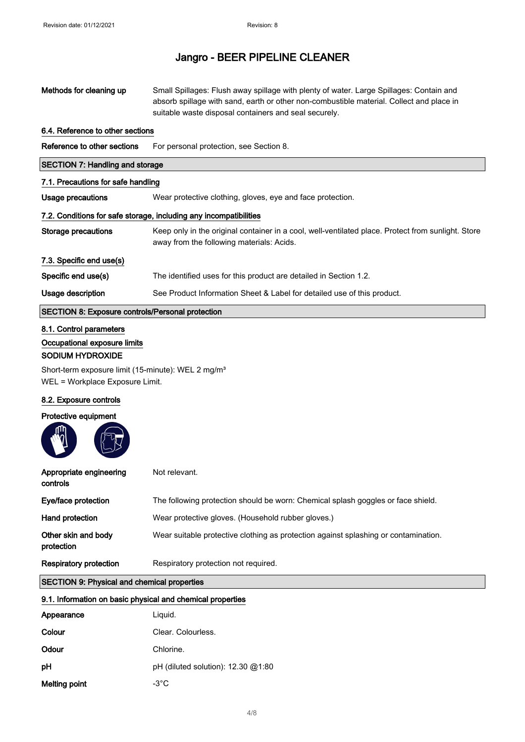| Methods for cleaning up                                                                           | Small Spillages: Flush away spillage with plenty of water. Large Spillages: Contain and<br>absorb spillage with sand, earth or other non-combustible material. Collect and place in<br>suitable waste disposal containers and seal securely. |  |
|---------------------------------------------------------------------------------------------------|----------------------------------------------------------------------------------------------------------------------------------------------------------------------------------------------------------------------------------------------|--|
| 6.4. Reference to other sections                                                                  |                                                                                                                                                                                                                                              |  |
| Reference to other sections                                                                       | For personal protection, see Section 8.                                                                                                                                                                                                      |  |
| <b>SECTION 7: Handling and storage</b>                                                            |                                                                                                                                                                                                                                              |  |
| 7.1. Precautions for safe handling                                                                |                                                                                                                                                                                                                                              |  |
| <b>Usage precautions</b>                                                                          | Wear protective clothing, gloves, eye and face protection.                                                                                                                                                                                   |  |
|                                                                                                   | 7.2. Conditions for safe storage, including any incompatibilities                                                                                                                                                                            |  |
| <b>Storage precautions</b>                                                                        | Keep only in the original container in a cool, well-ventilated place. Protect from sunlight. Store<br>away from the following materials: Acids.                                                                                              |  |
| 7.3. Specific end use(s)                                                                          |                                                                                                                                                                                                                                              |  |
| Specific end use(s)                                                                               | The identified uses for this product are detailed in Section 1.2.                                                                                                                                                                            |  |
| Usage description                                                                                 | See Product Information Sheet & Label for detailed use of this product.                                                                                                                                                                      |  |
| <b>SECTION 8: Exposure controls/Personal protection</b>                                           |                                                                                                                                                                                                                                              |  |
| 8.1. Control parameters                                                                           |                                                                                                                                                                                                                                              |  |
| Occupational exposure limits<br>SODIUM HYDROXIDE                                                  |                                                                                                                                                                                                                                              |  |
| Short-term exposure limit (15-minute): WEL 2 mg/m <sup>3</sup><br>WEL = Workplace Exposure Limit. |                                                                                                                                                                                                                                              |  |
| 8.2. Exposure controls                                                                            |                                                                                                                                                                                                                                              |  |
| Protective equipment                                                                              |                                                                                                                                                                                                                                              |  |
| Appropriate engineering<br>controls                                                               | Not relevant.                                                                                                                                                                                                                                |  |
| Eye/face protection                                                                               | The following protection should be worn: Chemical splash goggles or face shield.                                                                                                                                                             |  |
| Hand protection                                                                                   | Wear protective gloves. (Household rubber gloves.)                                                                                                                                                                                           |  |
| Other skin and body<br>protection                                                                 | Wear suitable protective clothing as protection against splashing or contamination.                                                                                                                                                          |  |
| <b>Respiratory protection</b>                                                                     | Respiratory protection not required.                                                                                                                                                                                                         |  |
| <b>SECTION 9: Physical and chemical properties</b>                                                |                                                                                                                                                                                                                                              |  |
| 9.1. Information on basic physical and chemical properties                                        |                                                                                                                                                                                                                                              |  |
| Appearance                                                                                        | Liquid.                                                                                                                                                                                                                                      |  |
| Colour                                                                                            | Clear. Colourless.                                                                                                                                                                                                                           |  |
| Odour                                                                                             | Chlorine.                                                                                                                                                                                                                                    |  |
| pH                                                                                                | pH (diluted solution): 12.30 @1:80                                                                                                                                                                                                           |  |
| <b>Melting point</b>                                                                              | $-3^{\circ}$ C                                                                                                                                                                                                                               |  |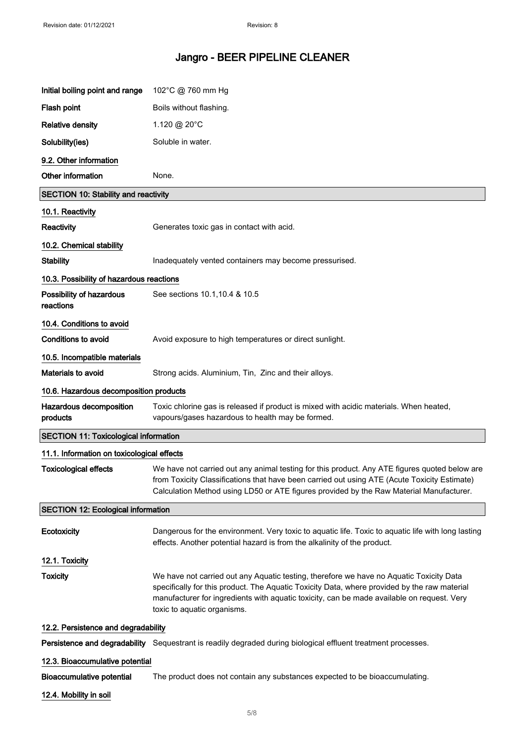| Initial boiling point and range              | 102°C @ 760 mm Hg                                                                                                                                                                                                                                                                                                    |
|----------------------------------------------|----------------------------------------------------------------------------------------------------------------------------------------------------------------------------------------------------------------------------------------------------------------------------------------------------------------------|
| Flash point                                  | Boils without flashing.                                                                                                                                                                                                                                                                                              |
| <b>Relative density</b>                      | 1.120 @ 20°C                                                                                                                                                                                                                                                                                                         |
| Solubility(ies)                              | Soluble in water.                                                                                                                                                                                                                                                                                                    |
| 9.2. Other information                       |                                                                                                                                                                                                                                                                                                                      |
| Other information                            | None.                                                                                                                                                                                                                                                                                                                |
| <b>SECTION 10: Stability and reactivity</b>  |                                                                                                                                                                                                                                                                                                                      |
| 10.1. Reactivity                             |                                                                                                                                                                                                                                                                                                                      |
| <b>Reactivity</b>                            | Generates toxic gas in contact with acid.                                                                                                                                                                                                                                                                            |
| 10.2. Chemical stability                     |                                                                                                                                                                                                                                                                                                                      |
| <b>Stability</b>                             | Inadequately vented containers may become pressurised.                                                                                                                                                                                                                                                               |
| 10.3. Possibility of hazardous reactions     |                                                                                                                                                                                                                                                                                                                      |
| Possibility of hazardous<br>reactions        | See sections 10.1, 10.4 & 10.5                                                                                                                                                                                                                                                                                       |
| 10.4. Conditions to avoid                    |                                                                                                                                                                                                                                                                                                                      |
| <b>Conditions to avoid</b>                   | Avoid exposure to high temperatures or direct sunlight.                                                                                                                                                                                                                                                              |
| 10.5. Incompatible materials                 |                                                                                                                                                                                                                                                                                                                      |
| Materials to avoid                           | Strong acids. Aluminium, Tin, Zinc and their alloys.                                                                                                                                                                                                                                                                 |
| 10.6. Hazardous decomposition products       |                                                                                                                                                                                                                                                                                                                      |
| Hazardous decomposition<br>products          | Toxic chlorine gas is released if product is mixed with acidic materials. When heated,<br>vapours/gases hazardous to health may be formed.                                                                                                                                                                           |
| <b>SECTION 11: Toxicological information</b> |                                                                                                                                                                                                                                                                                                                      |
| 11.1. Information on toxicological effects   |                                                                                                                                                                                                                                                                                                                      |
| <b>Toxicological effects</b>                 | We have not carried out any animal testing for this product. Any ATE figures quoted below are<br>from Toxicity Classifications that have been carried out using ATE (Acute Toxicity Estimate)<br>Calculation Method using LD50 or ATE figures provided by the Raw Material Manufacturer.                             |
| <b>SECTION 12: Ecological information</b>    |                                                                                                                                                                                                                                                                                                                      |
| Ecotoxicity                                  | Dangerous for the environment. Very toxic to aquatic life. Toxic to aquatic life with long lasting<br>effects. Another potential hazard is from the alkalinity of the product.                                                                                                                                       |
| 12.1. Toxicity                               |                                                                                                                                                                                                                                                                                                                      |
| <b>Toxicity</b>                              | We have not carried out any Aquatic testing, therefore we have no Aquatic Toxicity Data<br>specifically for this product. The Aquatic Toxicity Data, where provided by the raw material<br>manufacturer for ingredients with aquatic toxicity, can be made available on request. Very<br>toxic to aquatic organisms. |
| 12.2. Persistence and degradability          |                                                                                                                                                                                                                                                                                                                      |
|                                              | Persistence and degradability Sequestrant is readily degraded during biological effluent treatment processes.                                                                                                                                                                                                        |
| 12.3. Bioaccumulative potential              |                                                                                                                                                                                                                                                                                                                      |
| <b>Bioaccumulative potential</b>             | The product does not contain any substances expected to be bioaccumulating.                                                                                                                                                                                                                                          |
| 12.4. Mobility in soil                       |                                                                                                                                                                                                                                                                                                                      |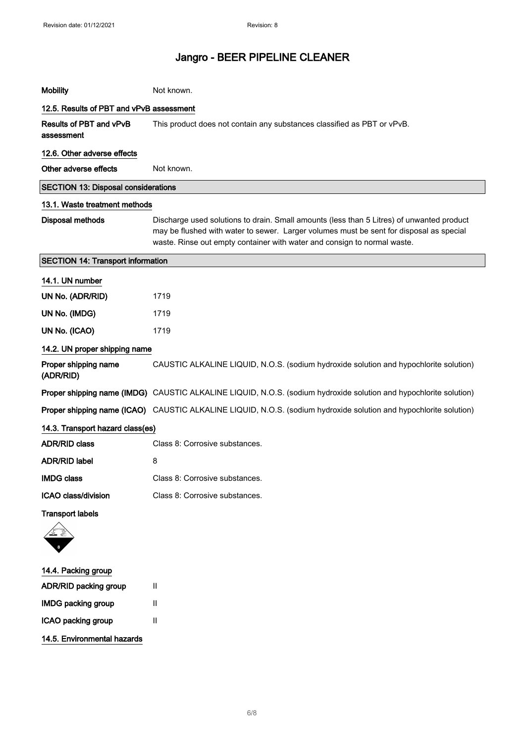| <b>Mobility</b>                            | Not known.                                                                                                                                                                                                                                                       |
|--------------------------------------------|------------------------------------------------------------------------------------------------------------------------------------------------------------------------------------------------------------------------------------------------------------------|
| 12.5. Results of PBT and vPvB assessment   |                                                                                                                                                                                                                                                                  |
| Results of PBT and vPvB<br>assessment      | This product does not contain any substances classified as PBT or vPvB.                                                                                                                                                                                          |
| 12.6. Other adverse effects                |                                                                                                                                                                                                                                                                  |
| Other adverse effects                      | Not known.                                                                                                                                                                                                                                                       |
| <b>SECTION 13: Disposal considerations</b> |                                                                                                                                                                                                                                                                  |
| 13.1. Waste treatment methods              |                                                                                                                                                                                                                                                                  |
| <b>Disposal methods</b>                    | Discharge used solutions to drain. Small amounts (less than 5 Litres) of unwanted product<br>may be flushed with water to sewer. Larger volumes must be sent for disposal as special<br>waste. Rinse out empty container with water and consign to normal waste. |
| <b>SECTION 14: Transport information</b>   |                                                                                                                                                                                                                                                                  |
| 14.1. UN number                            |                                                                                                                                                                                                                                                                  |
| UN No. (ADR/RID)                           | 1719                                                                                                                                                                                                                                                             |
| UN No. (IMDG)                              | 1719                                                                                                                                                                                                                                                             |
| UN No. (ICAO)                              | 1719                                                                                                                                                                                                                                                             |
| 14.2. UN proper shipping name              |                                                                                                                                                                                                                                                                  |
| Proper shipping name<br>(ADR/RID)          | CAUSTIC ALKALINE LIQUID, N.O.S. (sodium hydroxide solution and hypochlorite solution)                                                                                                                                                                            |
|                                            | Proper shipping name (IMDG) CAUSTIC ALKALINE LIQUID, N.O.S. (sodium hydroxide solution and hypochlorite solution)                                                                                                                                                |
|                                            | Proper shipping name (ICAO) CAUSTIC ALKALINE LIQUID, N.O.S. (sodium hydroxide solution and hypochlorite solution)                                                                                                                                                |
| 14.3. Transport hazard class(es)           |                                                                                                                                                                                                                                                                  |
| <b>ADR/RID class</b>                       | Class 8: Corrosive substances.                                                                                                                                                                                                                                   |
| <b>ADR/RID label</b>                       | 8                                                                                                                                                                                                                                                                |
| <b>IMDG class</b>                          | Class 8: Corrosive substances.                                                                                                                                                                                                                                   |
| ICAO class/division                        | Class 8: Corrosive substances.                                                                                                                                                                                                                                   |
| <b>Transport labels</b>                    |                                                                                                                                                                                                                                                                  |
|                                            |                                                                                                                                                                                                                                                                  |
| 14.4. Packing group                        |                                                                                                                                                                                                                                                                  |
| ADR/RID packing group                      | Ш                                                                                                                                                                                                                                                                |
| <b>IMDG packing group</b>                  | Ш                                                                                                                                                                                                                                                                |
| ICAO packing group                         | Ш                                                                                                                                                                                                                                                                |
| 14.5. Environmental hazards                |                                                                                                                                                                                                                                                                  |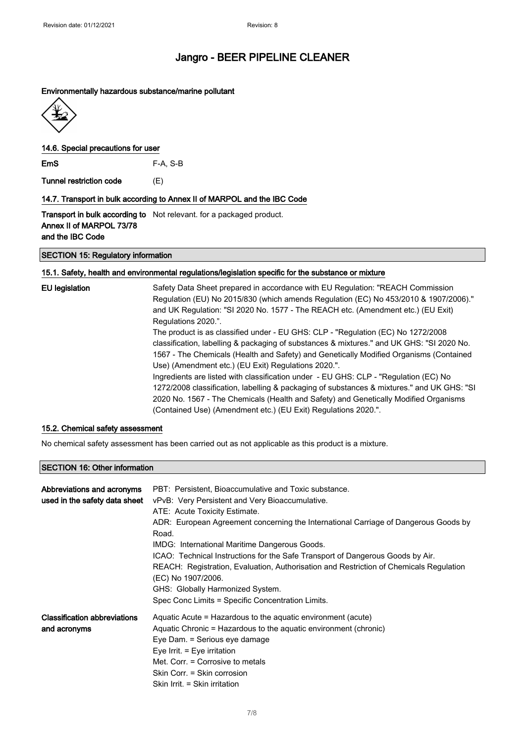#### Environmentally hazardous substance/marine pollutant



#### 14.6. Special precautions for user

EmS F-A, S-B

Tunnel restriction code (E)

#### 14.7. Transport in bulk according to Annex II of MARPOL and the IBC Code

Transport in bulk according to Not relevant. for a packaged product. Annex II of MARPOL 73/78 and the IBC Code

#### SECTION 15: Regulatory information

#### 15.1. Safety, health and environmental regulations/legislation specific for the substance or mixture

| <b>EU</b> legislation | Safety Data Sheet prepared in accordance with EU Regulation: "REACH Commission             |
|-----------------------|--------------------------------------------------------------------------------------------|
|                       | Regulation (EU) No 2015/830 (which amends Regulation (EC) No 453/2010 & 1907/2006)."       |
|                       | and UK Regulation: "SI 2020 No. 1577 - The REACH etc. (Amendment etc.) (EU Exit)           |
|                       | Regulations 2020.".                                                                        |
|                       | The product is as classified under - EU GHS: CLP - "Regulation (EC) No 1272/2008           |
|                       | classification, labelling & packaging of substances & mixtures." and UK GHS: "SI 2020 No.  |
|                       | 1567 - The Chemicals (Health and Safety) and Genetically Modified Organisms (Contained     |
|                       | Use) (Amendment etc.) (EU Exit) Regulations 2020.".                                        |
|                       | Ingredients are listed with classification under - EU GHS: CLP - "Regulation (EC) No       |
|                       | 1272/2008 classification, labelling & packaging of substances & mixtures." and UK GHS: "SI |
|                       | 2020 No. 1567 - The Chemicals (Health and Safety) and Genetically Modified Organisms       |
|                       | (Contained Use) (Amendment etc.) (EU Exit) Regulations 2020.".                             |

#### 15.2. Chemical safety assessment

No chemical safety assessment has been carried out as not applicable as this product is a mixture.

#### SECTION 16: Other information

| Abbreviations and acronyms<br>used in the safety data sheet | PBT: Persistent, Bioaccumulative and Toxic substance.<br>vPvB: Very Persistent and Very Bioaccumulative.<br>ATE: Acute Toxicity Estimate.<br>ADR: European Agreement concerning the International Carriage of Dangerous Goods by<br>Road.<br>IMDG: International Maritime Dangerous Goods.<br>ICAO: Technical Instructions for the Safe Transport of Dangerous Goods by Air.<br>REACH: Registration, Evaluation, Authorisation and Restriction of Chemicals Regulation<br>(EC) No 1907/2006.<br>GHS: Globally Harmonized System.<br>Spec Conc Limits = Specific Concentration Limits. |
|-------------------------------------------------------------|---------------------------------------------------------------------------------------------------------------------------------------------------------------------------------------------------------------------------------------------------------------------------------------------------------------------------------------------------------------------------------------------------------------------------------------------------------------------------------------------------------------------------------------------------------------------------------------|
| <b>Classification abbreviations</b><br>and acronyms         | Aquatic Acute = Hazardous to the aquatic environment (acute)<br>Aquatic Chronic = Hazardous to the aquatic environment (chronic)<br>Eye Dam. = Serious eye damage<br>Eye Irrit. $=$ Eye irritation<br>Met. Corr. = Corrosive to metals<br>Skin Corr. = Skin corrosion<br>Skin Irrit. = Skin irritation                                                                                                                                                                                                                                                                                |